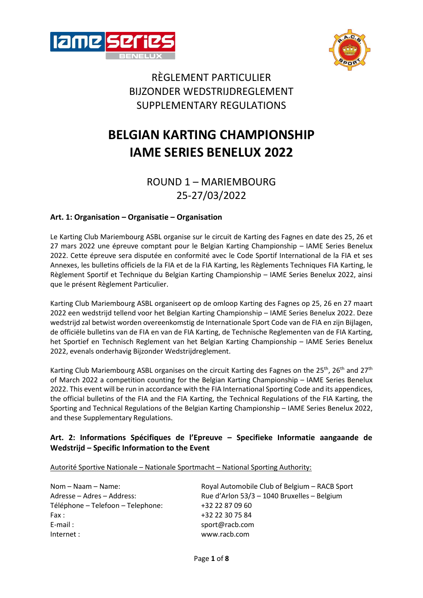



# RÈGLEMENT PARTICULIER BIJZONDER WEDSTRIJDREGLEMENT SUPPLEMENTARY REGULATIONS

# **BELGIAN KARTING CHAMPIONSHIP IAME SERIES BENELUX 2022**

# ROUND 1 – MARIEMBOURG 25-27/03/2022

# **Art. 1: Organisation – Organisatie – Organisation**

Le Karting Club Mariembourg ASBL organise sur le circuit de Karting des Fagnes en date des 25, 26 et 27 mars 2022 une épreuve comptant pour le Belgian Karting Championship – IAME Series Benelux 2022. Cette épreuve sera disputée en conformité avec le Code Sportif International de la FIA et ses Annexes, les bulletins officiels de la FIA et de la FIA Karting, les Règlements Techniques FIA Karting, le Règlement Sportif et Technique du Belgian Karting Championship – IAME Series Benelux 2022, ainsi que le présent Règlement Particulier.

Karting Club Mariembourg ASBL organiseert op de omloop Karting des Fagnes op 25, 26 en 27 maart 2022 een wedstrijd tellend voor het Belgian Karting Championship – IAME Series Benelux 2022. Deze wedstrijd zal betwist worden overeenkomstig de Internationale Sport Code van de FIA en zijn Bijlagen, de officiële bulletins van de FIA en van de FIA Karting, de Technische Reglementen van de FIA Karting, het Sportief en Technisch Reglement van het Belgian Karting Championship – IAME Series Benelux 2022, evenals onderhavig Bijzonder Wedstrijdreglement.

Karting Club Mariembourg ASBL organises on the circuit Karting des Fagnes on the 25<sup>th</sup>, 26<sup>th</sup> and 27<sup>th</sup> of March 2022 a competition counting for the Belgian Karting Championship – IAME Series Benelux 2022. This event will be run in accordance with the FIA International Sporting Code and its appendices, the official bulletins of the FIA and the FIA Karting, the Technical Regulations of the FIA Karting, the Sporting and Technical Regulations of the Belgian Karting Championship – IAME Series Benelux 2022, and these Supplementary Regulations.

# **Art. 2: Informations Spécifiques de l'Epreuve – Specifieke Informatie aangaande de Wedstrijd – Specific Information to the Event**

Autorité Sportive Nationale – Nationale Sportmacht – National Sporting Authority:

Téléphone – Telefoon – Telephone: +32 22 87 09 60 Fax :  $+3222307584$ E-mail : sport@racb.com Internet : www.racb.com

Nom – Naam – Name: Royal Automobile Club of Belgium – RACB Sport Adresse – Adres – Address: Rue d'Arlon 53/3 – 1040 Bruxelles – Belgium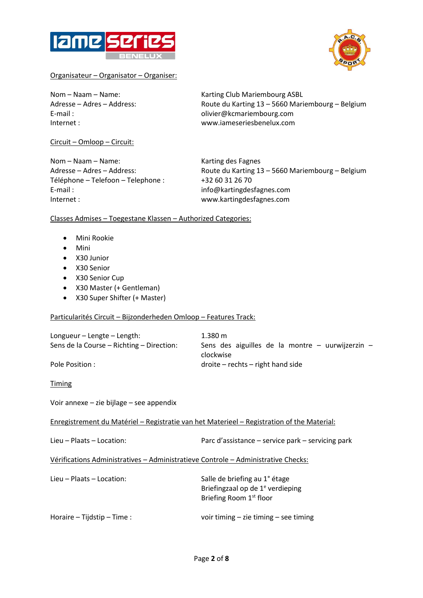



#### Organisateur – Organisator – Organiser:

Nom – Naam – Name: Karting Club Mariembourg ASBL Adresse – Adres – Address: Route du Karting 13 – 5660 Mariembourg – Belgium E-mail : olivier@kcmariembourg.com Internet : www.iameseriesbenelux.com

Circuit – Omloop – Circuit:

Nom – Naam – Name: Karting des Fagnes Téléphone – Telefoon – Telephone : +32 60 31 26 70 E-mail : info@kartingdesfagnes.com Internet : www.kartingdesfagnes.com

Adresse – Adres – Address: Route du Karting 13 – 5660 Mariembourg – Belgium

### Classes Admises – Toegestane Klassen – Authorized Categories:

- Mini Rookie
- Mini
- X30 Junior
- X30 Senior
- X30 Senior Cup
- X30 Master (+ Gentleman)
- X30 Super Shifter (+ Master)

#### Particularités Circuit – Bijzonderheden Omloop – Features Track:

| Longueur – Lengte – Length:<br>Sens de la Course – Richting – Direction: | $1.380 \text{ m}$<br>Sens des aiguilles de la montre $-$ uurwijzerzin $-$ |
|--------------------------------------------------------------------------|---------------------------------------------------------------------------|
|                                                                          | clockwise                                                                 |
| Pole Position :                                                          | $droite - rechts - right$ hand side                                       |

Timing

Voir annexe – zie bijlage – see appendix

Enregistrement du Matériel – Registratie van het Materieel – Registration of the Material:

Lieu – Plaats – Location: Parc d'assistance – service park – servicing park

Vérifications Administratives – Administratieve Controle – Administrative Checks:

Lieu – Plaats – Location: Salle de briefing au 1° étage Briefingzaal op de 1<sup>e</sup> verdieping Briefing Room 1st floor

Horaire – Tijdstip – Time : voir timing – zie timing – see timing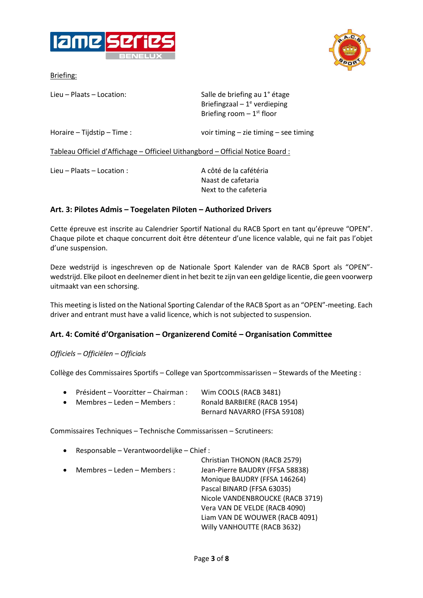





| Lieu – Plaats – Location:                                                      | Salle de briefing au 1° étage<br>Briefingzaal - $1^e$ verdieping<br>Briefing room $-1$ <sup>st</sup> floor |
|--------------------------------------------------------------------------------|------------------------------------------------------------------------------------------------------------|
| Horaire – Tijdstip – Time :                                                    | voir timing $-$ zie timing $-$ see timing                                                                  |
| Tableau Officiel d'Affichage - Officieel Uithangbord - Official Notice Board : |                                                                                                            |
| Lieu – Plaats – Location :                                                     | A côté de la cafétéria<br>Naast de cafetaria<br>Next to the cafeteria                                      |

## **Art. 3: Pilotes Admis – Toegelaten Piloten – Authorized Drivers**

Cette épreuve est inscrite au Calendrier Sportif National du RACB Sport en tant qu'épreuve "OPEN". Chaque pilote et chaque concurrent doit être détenteur d'une licence valable, qui ne fait pas l'objet d'une suspension.

Deze wedstrijd is ingeschreven op de Nationale Sport Kalender van de RACB Sport als "OPEN" wedstrijd. Elke piloot en deelnemer dient in het bezit te zijn van een geldige licentie, die geen voorwerp uitmaakt van een schorsing.

This meeting is listed on the National Sporting Calendar of the RACB Sport as an "OPEN"-meeting. Each driver and entrant must have a valid licence, which is not subjected to suspension.

# **Art. 4: Comité d'Organisation – Organizerend Comité – Organisation Committee**

### *Officiels – Officiëlen – Officials*

Collège des Commissaires Sportifs – College van Sportcommissarissen – Stewards of the Meeting :

|           | • Président – Voorzitter – Chairman : | Wim COOLS (RACB 3481)        |
|-----------|---------------------------------------|------------------------------|
| $\bullet$ | Membres – Leden – Members :           | Ronald BARBIERE (RACB 1954)  |
|           |                                       | Bernard NAVARRO (FFSA 59108) |

Commissaires Techniques – Technische Commissarissen – Scrutineers:

• Responsable – Verantwoordelijke – Chief :

|           |                             | Christian THONON (RACB 2579)     |
|-----------|-----------------------------|----------------------------------|
| $\bullet$ | Membres - Leden - Members : | Jean-Pierre BAUDRY (FFSA 58838)  |
|           |                             | Monique BAUDRY (FFSA 146264)     |
|           |                             | Pascal BINARD (FFSA 63035)       |
|           |                             | Nicole VANDENBROUCKE (RACB 3719) |
|           |                             | Vera VAN DE VELDE (RACB 4090)    |
|           |                             | Liam VAN DE WOUWER (RACB 4091)   |
|           |                             | Willy VANHOUTTE (RACB 3632)      |
|           |                             |                                  |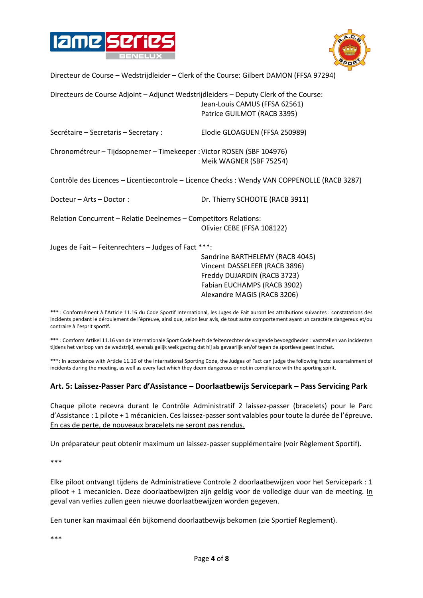



Directeur de Course – Wedstrijdleider – Clerk of the Course: Gilbert DAMON (FFSA 97294)

| Directeurs de Course Adjoint - Adjunct Wedstrijdleiders - Deputy Clerk of the Course:        | Jean-Louis CAMUS (FFSA 62561)<br>Patrice GUILMOT (RACB 3395)                                                                   |  |
|----------------------------------------------------------------------------------------------|--------------------------------------------------------------------------------------------------------------------------------|--|
| Secrétaire – Secretaris – Secretary :                                                        | Elodie GLOAGUEN (FFSA 250989)                                                                                                  |  |
| Chronométreur - Tijdsopnemer - Timekeeper : Victor ROSEN (SBF 104976)                        | Meik WAGNER (SBF 75254)                                                                                                        |  |
| Contrôle des Licences - Licentiecontrole - Licence Checks : Wendy VAN COPPENOLLE (RACB 3287) |                                                                                                                                |  |
| Docteur - Arts - Doctor:                                                                     | Dr. Thierry SCHOOTE (RACB 3911)                                                                                                |  |
| Relation Concurrent - Relatie Deelnemes - Competitors Relations:                             | Olivier CEBE (FFSA 108122)                                                                                                     |  |
| Juges de Fait - Feitenrechters - Judges of Fact ***:                                         | Sandrine BARTHELEMY (RACB 4045)<br>Vincent DASSELEER (RACB 3896)<br>Freddy DUJARDIN (RACB 3723)<br>Fabian EUCHAMPS (RACB 3902) |  |

\*\*\* : Conformément à l'Article 11.16 du Code Sportif International, les Juges de Fait auront les attributions suivantes : constatations des incidents pendant le déroulement de l'épreuve, ainsi que, selon leur avis, de tout autre comportement ayant un caractère dangereux et/ou contraire à l'esprit sportif.

Alexandre MAGIS (RACB 3206)

\*\*\* : Comform Artikel 11.16 van de Internationale Sport Code heeft de feitenrechter de volgende bevoegdheden : vaststellen van incidenten tijdens het verloop van de wedstrijd, evenals gelijk welk gedrag dat hij als gevaarlijk en/of tegen de sportieve geest inschat.

\*\*\*: In accordance with Article 11.16 of the International Sporting Code, the Judges of Fact can judge the following facts: ascertainment of incidents during the meeting, as well as every fact which they deem dangerous or not in compliance with the sporting spirit.

#### **Art. 5: Laissez-Passer Parc d'Assistance – Doorlaatbewijs Servicepark – Pass Servicing Park**

Chaque pilote recevra durant le Contrôle Administratif 2 laissez-passer (bracelets) pour le Parc d'Assistance : 1 pilote + 1 mécanicien. Ces laissez-passer sont valables pour toute la durée de l'épreuve. En cas de perte, de nouveaux bracelets ne seront pas rendus.

Un préparateur peut obtenir maximum un laissez-passer supplémentaire (voir Règlement Sportif).

\*\*\*

Elke piloot ontvangt tijdens de Administratieve Controle 2 doorlaatbewijzen voor het Servicepark : 1 piloot + 1 mecanicien. Deze doorlaatbewijzen zijn geldig voor de volledige duur van de meeting. In geval van verlies zullen geen nieuwe doorlaatbewijzen worden gegeven.

Een tuner kan maximaal één bijkomend doorlaatbewijs bekomen (zie Sportief Reglement).

\*\*\*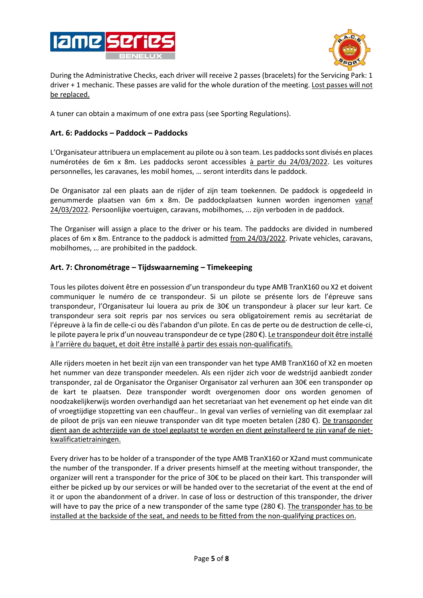



During the Administrative Checks, each driver will receive 2 passes (bracelets) for the Servicing Park: 1 driver + 1 mechanic. These passes are valid for the whole duration of the meeting. Lost passes will not be replaced.

A tuner can obtain a maximum of one extra pass (see Sporting Regulations).

## **Art. 6: Paddocks – Paddock – Paddocks**

L'Organisateur attribuera un emplacement au pilote ou à son team. Les paddocks sont divisés en places numérotées de 6m x 8m. Les paddocks seront accessibles à partir du 24/03/2022. Les voitures personnelles, les caravanes, les mobil homes, … seront interdits dans le paddock.

De Organisator zal een plaats aan de rijder of zijn team toekennen. De paddock is opgedeeld in genummerde plaatsen van 6m x 8m. De paddockplaatsen kunnen worden ingenomen vanaf 24/03/2022. Persoonlijke voertuigen, caravans, mobilhomes, ... zijn verboden in de paddock.

The Organiser will assign a place to the driver or his team. The paddocks are divided in numbered places of 6m x 8m. Entrance to the paddock is admitted from 24/03/2022. Private vehicles, caravans, mobilhomes, … are prohibited in the paddock.

# **Art. 7: Chronométrage – Tijdswaarneming – Timekeeping**

Tous les pilotes doivent être en possession d'un transpondeur du type AMB TranX160 ou X2 et doivent communiquer le numéro de ce transpondeur. Si un pilote se présente lors de l'épreuve sans transpondeur, l'Organisateur lui louera au prix de 30€ un transpondeur à placer sur leur kart. Ce transpondeur sera soit repris par nos services ou sera obligatoirement remis au secrétariat de l'épreuve à la fin de celle-ci ou dès l'abandon d'un pilote. En cas de perte ou de destruction de celle-ci, le pilote payera le prix d'un nouveau transpondeur de ce type (280 €). Le transpondeur doit être installé à l'arrière du baquet, et doit être installé à partir des essais non-qualificatifs.

Alle rijders moeten in het bezit zijn van een transponder van het type AMB TranX160 of X2 en moeten het nummer van deze transponder meedelen. Als een rijder zich voor de wedstrijd aanbiedt zonder transponder, zal de Organisator the Organiser Organisator zal verhuren aan 30€ een transponder op de kart te plaatsen. Deze transponder wordt overgenomen door ons worden genomen of noodzakelijkerwijs worden overhandigd aan het secretariaat van het evenement op het einde van dit of vroegtijdige stopzetting van een chauffeur.. In geval van verlies of vernieling van dit exemplaar zal de piloot de prijs van een nieuwe transponder van dit type moeten betalen (280 €). De transponder dient aan de achterzijde van de stoel geplaatst te worden en dient geïnstalleerd te zijn vanaf de nietkwalificatietrainingen.

Every driver has to be holder of a transponder of the type AMB TranX160 or X2and must communicate the number of the transponder. If a driver presents himself at the meeting without transponder, the organizer will rent a transponder for the price of 30€ to be placed on their kart. This transponder will either be picked up by our services or will be handed over to the secretariat of the event at the end of it or upon the abandonment of a driver. In case of loss or destruction of this transponder, the driver will have to pay the price of a new transponder of the same type (280  $\epsilon$ ). The transponder has to be installed at the backside of the seat, and needs to be fitted from the non-qualifying practices on.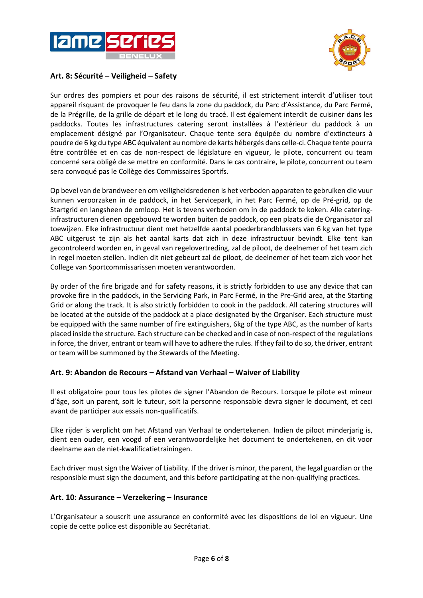



# **Art. 8: Sécurité – Veiligheid – Safety**

Sur ordres des pompiers et pour des raisons de sécurité, il est strictement interdit d'utiliser tout appareil risquant de provoquer le feu dans la zone du paddock, du Parc d'Assistance, du Parc Fermé, de la Prégrille, de la grille de départ et le long du tracé. Il est également interdit de cuisiner dans les paddocks. Toutes les infrastructures catering seront installées à l'extérieur du paddock à un emplacement désigné par l'Organisateur. Chaque tente sera équipée du nombre d'extincteurs à poudre de 6 kg du type ABC équivalent au nombre de karts hébergés dans celle-ci. Chaque tente pourra être contrôlée et en cas de non-respect de législature en vigueur, le pilote, concurrent ou team concerné sera obligé de se mettre en conformité. Dans le cas contraire, le pilote, concurrent ou team sera convoqué pas le Collège des Commissaires Sportifs.

Op bevel van de brandweer en om veiligheidsredenen is het verboden apparaten te gebruiken die vuur kunnen veroorzaken in de paddock, in het Servicepark, in het Parc Fermé, op de Pré-grid, op de Startgrid en langsheen de omloop. Het is tevens verboden om in de paddock te koken. Alle cateringinfrastructuren dienen opgebouwd te worden buiten de paddock, op een plaats die de Organisator zal toewijzen. Elke infrastructuur dient met hetzelfde aantal poederbrandblussers van 6 kg van het type ABC uitgerust te zijn als het aantal karts dat zich in deze infrastructuur bevindt. Elke tent kan gecontroleerd worden en, in geval van regelovertreding, zal de piloot, de deelnemer of het team zich in regel moeten stellen. Indien dit niet gebeurt zal de piloot, de deelnemer of het team zich voor het College van Sportcommissarissen moeten verantwoorden.

By order of the fire brigade and for safety reasons, it is strictly forbidden to use any device that can provoke fire in the paddock, in the Servicing Park, in Parc Fermé, in the Pre-Grid area, at the Starting Grid or along the track. It is also strictly forbidden to cook in the paddock. All catering structures will be located at the outside of the paddock at a place designated by the Organiser. Each structure must be equipped with the same number of fire extinguishers, 6kg of the type ABC, as the number of karts placed inside the structure. Each structure can be checked and in case of non-respect of the regulations in force, the driver, entrant or team will have to adhere the rules. If they fail to do so, the driver, entrant or team will be summoned by the Stewards of the Meeting.

### **Art. 9: Abandon de Recours – Afstand van Verhaal – Waiver of Liability**

Il est obligatoire pour tous les pilotes de signer l'Abandon de Recours. Lorsque le pilote est mineur d'âge, soit un parent, soit le tuteur, soit la personne responsable devra signer le document, et ceci avant de participer aux essais non-qualificatifs.

Elke rijder is verplicht om het Afstand van Verhaal te ondertekenen. Indien de piloot minderjarig is, dient een ouder, een voogd of een verantwoordelijke het document te ondertekenen, en dit voor deelname aan de niet-kwalificatietrainingen.

Each driver must sign the Waiver of Liability. If the driver is minor, the parent, the legal guardian or the responsible must sign the document, and this before participating at the non-qualifying practices.

### **Art. 10: Assurance – Verzekering – Insurance**

L'Organisateur a souscrit une assurance en conformité avec les dispositions de loi en vigueur. Une copie de cette police est disponible au Secrétariat.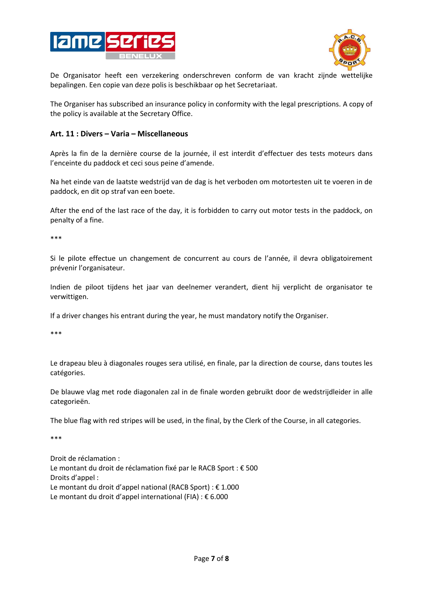



De Organisator heeft een verzekering onderschreven conform de van kracht zijnde wettelijke bepalingen. Een copie van deze polis is beschikbaar op het Secretariaat.

The Organiser has subscribed an insurance policy in conformity with the legal prescriptions. A copy of the policy is available at the Secretary Office.

#### **Art. 11 : Divers – Varia – Miscellaneous**

Après la fin de la dernière course de la journée, il est interdit d'effectuer des tests moteurs dans l'enceinte du paddock et ceci sous peine d'amende.

Na het einde van de laatste wedstrijd van de dag is het verboden om motortesten uit te voeren in de paddock, en dit op straf van een boete.

After the end of the last race of the day, it is forbidden to carry out motor tests in the paddock, on penalty of a fine.

\*\*\*

Si le pilote effectue un changement de concurrent au cours de l'année, il devra obligatoirement prévenir l'organisateur.

Indien de piloot tijdens het jaar van deelnemer verandert, dient hij verplicht de organisator te verwittigen.

If a driver changes his entrant during the year, he must mandatory notify the Organiser.

\*\*\*

Le drapeau bleu à diagonales rouges sera utilisé, en finale, par la direction de course, dans toutes les catégories.

De blauwe vlag met rode diagonalen zal in de finale worden gebruikt door de wedstrijdleider in alle categorieën.

The blue flag with red stripes will be used, in the final, by the Clerk of the Course, in all categories.

\*\*\*

Droit de réclamation : Le montant du droit de réclamation fixé par le RACB Sport : € 500 Droits d'appel : Le montant du droit d'appel national (RACB Sport) : € 1.000 Le montant du droit d'appel international (FIA) : € 6.000